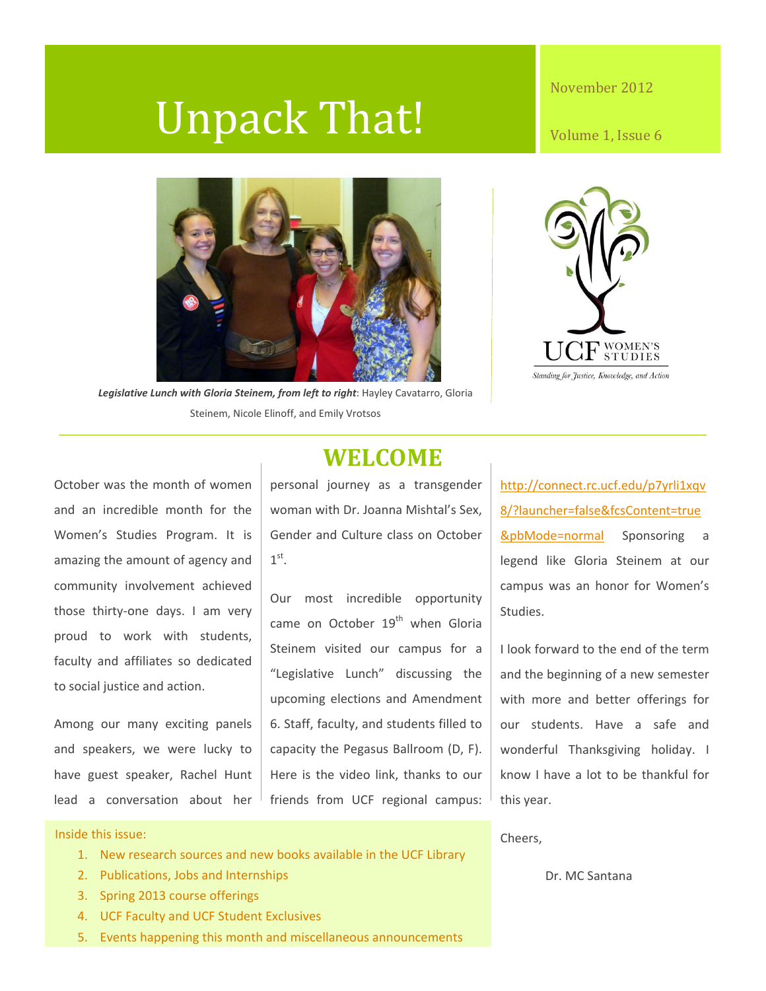# Unpack That!

#### November 2012

Volume 1, Issue 6



*Legislative Lunch with Gloria Steinem, from left to right*: Hayley Cavatarro, Gloria Steinem, Nicole Elinoff, and Emily Vrotsos



October was the month of women and an incredible month for the Women's Studies Program. It is amazing the amount of agency and community involvement achieved those thirty-one days. I am very proud to work with students, faculty and affiliates so dedicated to social justice and action.

Among our many exciting panels and speakers, we were lucky to have guest speaker, Rachel Hunt lead a conversation about her

## **WELCOME**

personal journey as a transgender woman with Dr. Joanna Mishtal's Sex, Gender and Culture class on October  $1^\text{st}$ .

Our most incredible opportunity came on October  $19<sup>th</sup>$  when Gloria Steinem visited our campus for a "Legislative Lunch" discussing the upcoming elections and Amendment 6. Staff, faculty, and students filled to capacity the Pegasus Ballroom (D, F). Here is the video link, thanks to our friends from UCF regional campus: [http://connect.rc.ucf.edu/p7yrli1xqv](http://connect.rc.ucf.edu/p7yrli1xqv8/?launcher=false&fcsContent=true&pbMode=normal) [8/?launcher=false&fcsContent=true](http://connect.rc.ucf.edu/p7yrli1xqv8/?launcher=false&fcsContent=true&pbMode=normal) **[&pbMode=normal](http://connect.rc.ucf.edu/p7yrli1xqv8/?launcher=false&fcsContent=true&pbMode=normal)** Sponsoring a legend like Gloria Steinem at our campus was an honor for Women's Studies.

I look forward to the end of the term and the beginning of a new semester with more and better offerings for our students. Have a safe and wonderful Thanksgiving holiday. I know I have a lot to be thankful for this year.

Cheers,

Dr. MC Santana

#### Inside this issue:

- 1. New research sources and new books available in the UCF Library
- 2. Publications, Jobs and Internships
- 3. Spring 2013 course offerings
- 4. UCF Faculty and UCF Student Exclusives
- 5. Events happening this month and miscellaneous announcements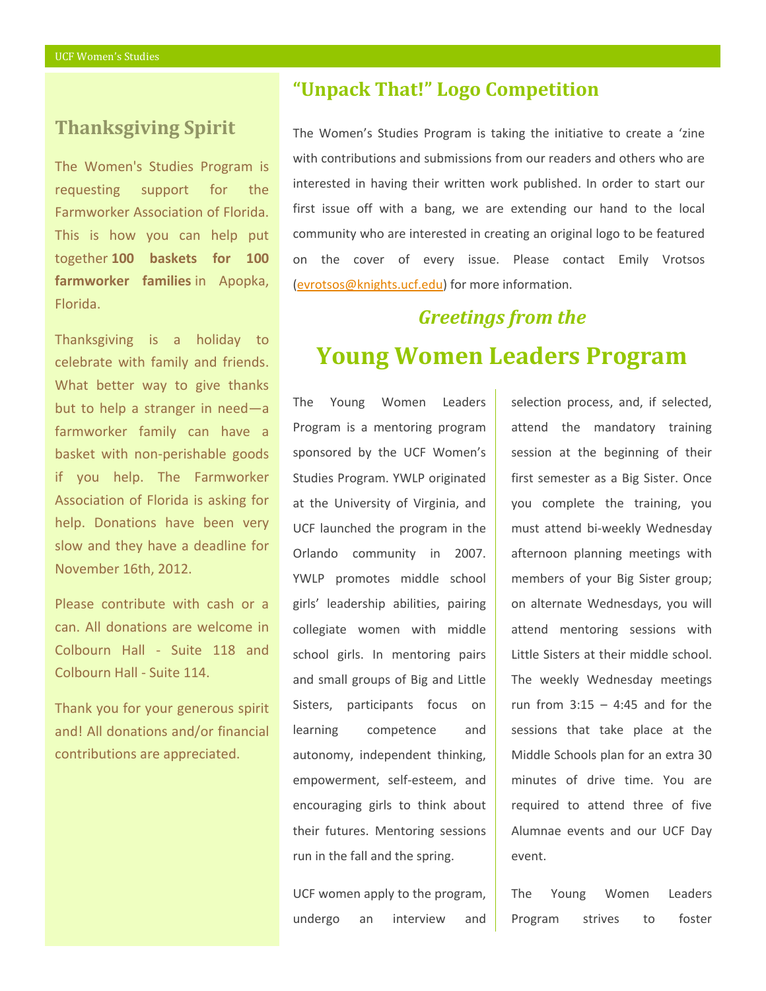#### **Thanksgiving Spirit**

The Women's Studies Program is requesting support for the Farmworker Association of Florida. This is how you can help put together **100 baskets for 100 farmworker families** in Apopka, Florida.

Thanksgiving is a holiday to celebrate with family and friends. What better way to give thanks but to help a stranger in need—a farmworker family can have a basket with non-perishable goods if you help. The Farmworker Association of Florida is asking for help. Donations have been very slow and they have a deadline for November 16th, 2012.

Please contribute with cash or a can. All donations are welcome in Colbourn Hall - Suite 118 and Colbourn Hall - Suite 114.

Thank you for your generous spirit and! All donations and/or financial contributions are appreciated.

#### **"Unpack That!" Logo Competition**

The Women's Studies Program is taking the initiative to create a 'zine with contributions and submissions from our readers and others who are interested in having their written work published. In order to start our first issue off with a bang, we are extending our hand to the local community who are interested in creating an original logo to be featured on the cover of every issue. Please contact Emily Vrotsos [\(evrotsos@knights.ucf.edu\)](mailto:evrotsos@knights.ucf.edu) for more information.

# *Greetings from the*  **Young Women Leaders Program**

The Young Women Leaders Program is a mentoring program sponsored by the UCF Women's Studies Program. YWLP originated at the University of Virginia, and UCF launched the program in the Orlando community in 2007. YWLP promotes middle school girls' leadership abilities, pairing collegiate women with middle school girls. In mentoring pairs and small groups of Big and Little Sisters, participants focus on learning competence and autonomy, independent thinking, empowerment, self-esteem, and encouraging girls to think about their futures. Mentoring sessions run in the fall and the spring.

UCF women apply to the program, undergo an interview and selection process, and, if selected, attend the mandatory training session at the beginning of their first semester as a Big Sister. Once you complete the training, you must attend bi-weekly Wednesday afternoon planning meetings with members of your Big Sister group; on alternate Wednesdays, you will attend mentoring sessions with Little Sisters at their middle school. The weekly Wednesday meetings run from  $3:15 - 4:45$  and for the sessions that take place at the Middle Schools plan for an extra 30 minutes of drive time. You are required to attend three of five Alumnae events and our UCF Day event.

The Young Women Leaders Program strives to foster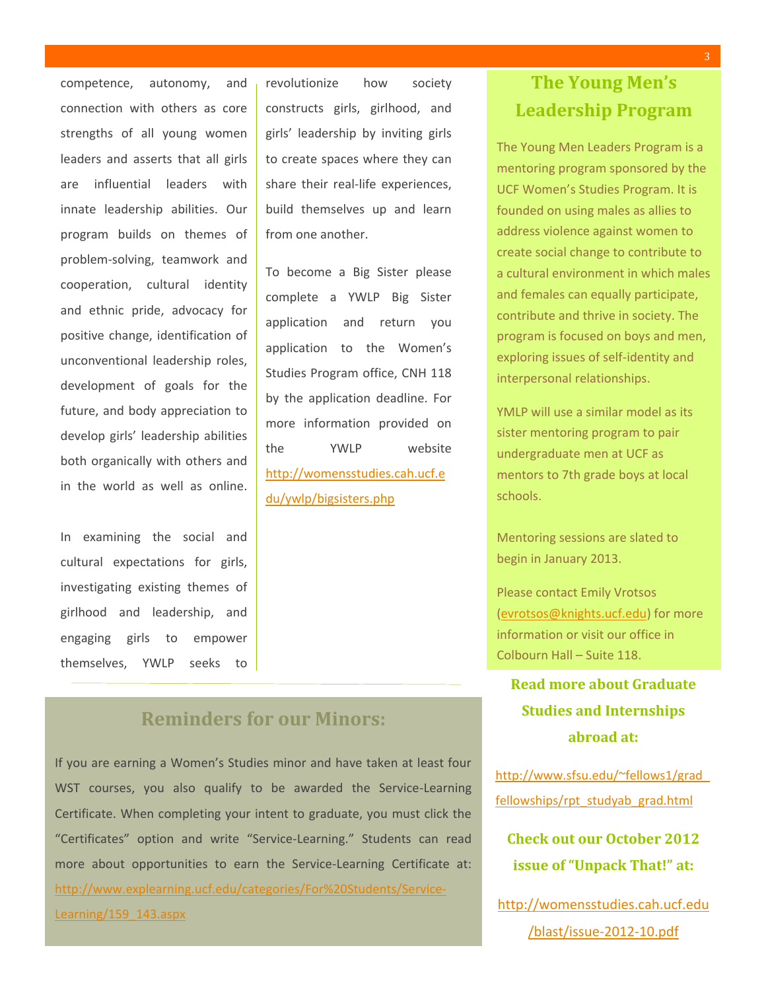competence, autonomy, and connection with others as core strengths of all young women leaders and asserts that all girls are influential leaders with innate leadership abilities. Our program builds on themes of problem-solving, teamwork and cooperation, cultural identity and ethnic pride, advocacy for positive change, identification of unconventional leadership roles, development of goals for the future, and body appreciation to develop girls' leadership abilities both organically with others and in the world as well as online.

In examining the social and cultural expectations for girls, investigating existing themes of girlhood and leadership, and engaging girls to empower themselves, YWLP seeks to revolutionize how society constructs girls, girlhood, and girls' leadership by inviting girls to create spaces where they can share their real-life experiences, build themselves up and learn from one another.

To become a Big Sister please complete a YWLP Big Sister application and return you application to the Women's Studies Program office, CNH 118 by the application deadline. For more information provided on the YWLP website [http://womensstudies.cah.ucf.e](http://womensstudies.cah.ucf.edu/ywlp/bigsisters.php) [du/ywlp/bigsisters.php](http://womensstudies.cah.ucf.edu/ywlp/bigsisters.php)

#### **Reminders for our Minors:**

If you are earning a Women's Studies minor and have taken at least four WST courses, you also qualify to be awarded the Service-Learning Certificate. When completing your intent to graduate, you must click the "Certificates" option and write "Service-Learning." Students can read more about opportunities to earn the Service-Learning Certificate at: [http://www.explearning.ucf.edu/categories/For%20Students/Service-](http://www.explearning.ucf.edu/categories/For%20Students/Service-Learning/159_143.aspx)[Learning/159\\_143.aspx](http://www.explearning.ucf.edu/categories/For%20Students/Service-Learning/159_143.aspx)

**The Young Men's Leadership Program**

The Young Men Leaders Program is a mentoring program sponsored by the UCF Women's Studies Program. It is founded on using males as allies to address violence against women to create social change to contribute to a cultural environment in which males and females can equally participate, contribute and thrive in society. The program is focused on boys and men, exploring issues of self-identity and interpersonal relationships.

YMLP will use a similar model as its sister mentoring program to pair undergraduate men at UCF as mentors to 7th grade boys at local schools.

Mentoring sessions are slated to begin in January 2013.

Please contact Emily Vrotsos [\(evrotsos@knights.ucf.edu\)](mailto:evrotsos@knights.ucf.edu) for more information or visit our office in Colbourn Hall – Suite 118.

**Read more about Graduate Studies and Internships abroad at:**

[http://www.sfsu.edu/~fellows1/grad\\_](http://www.sfsu.edu/~fellows1/grad_fellowships/rpt_studyab_grad.html) [fellowships/rpt\\_studyab\\_grad.html](http://www.sfsu.edu/~fellows1/grad_fellowships/rpt_studyab_grad.html)

**Check out our October 2012 issue of "Unpack That!" at:**

[http://womensstudies.cah.ucf.edu](http://womensstudies.cah.ucf.edu/blast/issue-2012-10.pdf) [/blast/issue-2012-10.pdf](http://womensstudies.cah.ucf.edu/blast/issue-2012-10.pdf)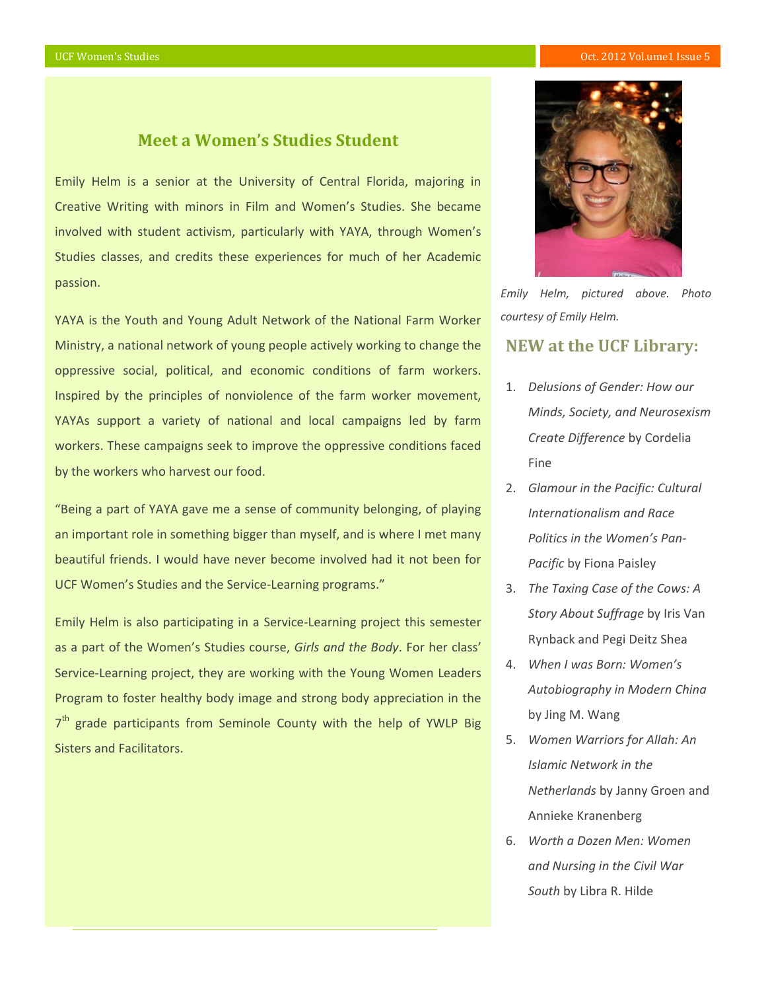#### **Meet a Women's Studies Student**

Emily Helm is a senior at the University of Central Florida, majoring in Creative Writing with minors in Film and Women's Studies. She became involved with student activism, particularly with YAYA, through Women's Studies classes, and credits these experiences for much of her Academic passion.

YAYA is the Youth and Young Adult Network of the National Farm Worker Ministry, a national network of young people actively working to change the oppressive social, political, and economic conditions of farm workers. Inspired by the principles of nonviolence of the farm worker movement, YAYAs support a variety of national and local campaigns led by farm workers. These campaigns seek to improve the oppressive conditions faced by the workers who harvest our food.

"Being a part of YAYA gave me a sense of community belonging, of playing an important role in something bigger than myself, and is where I met many beautiful friends. I would have never become involved had it not been for UCF Women's Studies and the Service-Learning programs."

Emily Helm is also participating in a Service-Learning project this semester as a part of the Women's Studies course, *Girls and the Body*. For her class' Service-Learning project, they are working with the Young Women Leaders Program to foster healthy body image and strong body appreciation in the 7<sup>th</sup> grade participants from Seminole County with the help of YWLP Big Sisters and Facilitators.



*Emily Helm, pictured above. Photo courtesy of Emily Helm.*

#### **NEW at the UCF Library:**

- 1. *Delusions of Gender: How our Minds, Society, and Neurosexism Create Difference* by Cordelia Fine
- 2. *Glamour in the Pacific: Cultural Internationalism and Race Politics in the Women's Pan-Pacific* by Fiona Paisley
- 3. *The Taxing Case of the Cows: A Story About Suffrage* by Iris Van Rynback and Pegi Deitz Shea
- 4. *When I was Born: Women's Autobiography in Modern China*  by Jing M. Wang
- 5. *Women Warriors for Allah: An Islamic Network in the Netherlands* by Janny Groen and Annieke Kranenberg
- 6. *Worth a Dozen Men: Women and Nursing in the Civil War South* by Libra R. Hilde